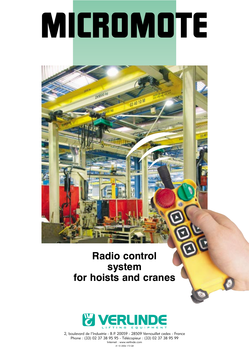# MICROMOTE

03 40 10 M

2x1000 kg

### **Radio control system for hoists and cranes**



2, boulevard de l'Industrie - B.P. 20059 - 28509 Vernouillet cedex - France Phone : (33) 02 37 38 95 95 - Télécopieur : (33) 02 37 38 95 99 Internet : www.verlinde.com JV 10 2006 173 GB